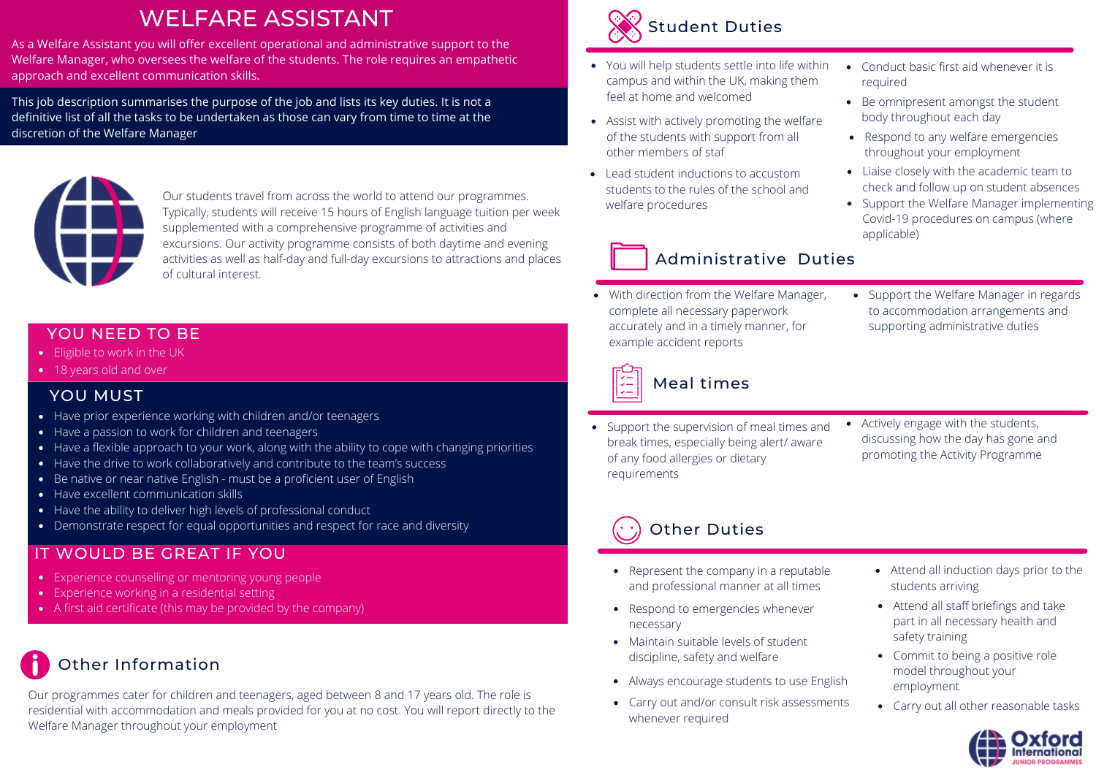# WELFARE ASSISTANT

As a Welfare Assistant you will offer excellent operational and administrative support to the Welfare Manager, who oversees the welfare of the students. The role requires an empathetic approach and excellent communication skills.

This job description summarises the purpose of the job and lists its key duties. It is not a definitive list of all the tasks to be undertaken as those can vary from time to time at the discretion of the Welfare Manager



Our students travel from across the world to attend our programmes. Typically, students will receive 15 hours of English language tuition per week supplemented with a comprehensive programme of activities and excursions. Our activity programme consists of both daytime and evening activities as well as half-day and full-day excursions to attractions and places of cultural interest.

#### YOU NEED TO BE

- **Eligible to work in the UK**
- 18 years old and over

#### YOU MUST

- Have prior experience working with children and/or teenagers
- Have a passion to work for children and teenagers
- Have a flexible approach to your work, along with the ability to cope with changing priorities
- Have the drive to work collaboratively and contribute to the team's success
- Be native or near native English must be a proficient user of English
- Have excellent communication skills
- Have the ability to deliver high levels of professional conduct
- Demonstrate respect for equal opportunities and respect for race and diversity

### IT WOULD BE GREAT IF YOU

- Experience counselling or mentoring young people
- Experience working in a residential setting
- A first aid certificate (this may be provided by the company)

## Other Information

Our programmes cater for children and teenagers, aged between 8 and 17 years old. The role is residential with accommodation and meals provided for you at no cost. You will report directly to the Welfare Manager throughout your employment



- You will help students settle into life within campus and within the UK, making them feel at home and welcomed
- Assist with actively promoting the welfare of the students with support from all other members of staf
- Lead student inductions to accustom students to the rules of the school and welfare procedures
- Conduct basic first aid whenever it is required
- Be omnipresent amongst the student body throughout each day
- Respond to any welfare emergencies throughout your employment
- Liaise closely with the academic team to check and follow up on student absences
- Support the Welfare Manager implementing Covid-19 procedures on campus (where applicable)

• Support the Welfare Manager in regards to accommodation arrangements and supporting administrative duties

### Administrative Duties

With direction from the Welfare Manager, complete all necessary paperwork accurately and in a timely manner, for example accident reports



### Meal times

- Support the supervision of meal times and break times, especially being alert/ aware of any food allergies or dietary requirements
- Actively engage with the students, discussing how the day has gone and promoting the Activity Programme

# Other Duties

- Represent the company in a reputable and professional manner at all times
- Respond to emergencies whenever necessary
- Maintain suitable levels of student discipline, safety and welfare
- Always encourage students to use English
- Carry out and/or consult risk assessments whenever required
- Attend all induction days prior to the students arriving
- Attend all staff briefings and take part in all necessary health and safety training
- Commit to being a positive role model throughout your employment
- Carry out all other reasonable tasks